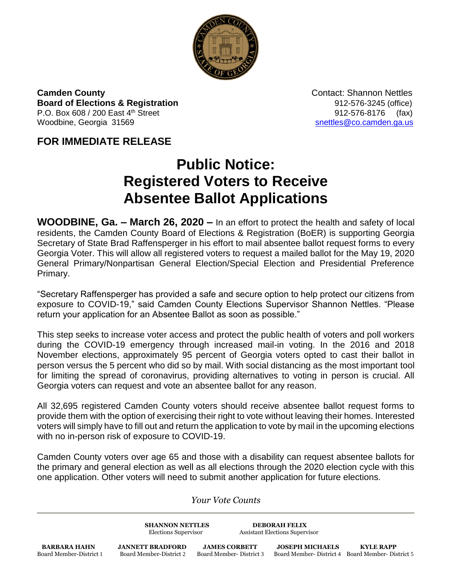

**Camden County**<br> **Contact: Shannon Nettles Board of Elections & Registration** 6 and 12-576-3245 (office) P.O. Box 608 / 200 East  $4^{th}$  Street 912-576-8176 (fax) Woodbine, Georgia 31569 [snettles@co.camden.ga.us](mailto:snettles@co.camden.ga.us)

## **FOR IMMEDIATE RELEASE**

## **Public Notice: Registered Voters to Receive Absentee Ballot Applications**

**WOODBINE, Ga. – March 26, 2020 –** In an effort to protect the health and safety of local residents, the Camden County Board of Elections & Registration (BoER) is supporting Georgia Secretary of State Brad Raffensperger in his effort to mail absentee ballot request forms to every Georgia Voter. This will allow all registered voters to request a mailed ballot for the May 19, 2020 General Primary/Nonpartisan General Election/Special Election and Presidential Preference Primary.

"Secretary Raffensperger has provided a safe and secure option to help protect our citizens from exposure to COVID-19," said Camden County Elections Supervisor Shannon Nettles. "Please return your application for an Absentee Ballot as soon as possible."

This step seeks to increase voter access and protect the public health of voters and poll workers during the COVID-19 emergency through increased mail-in voting. In the 2016 and 2018 November elections, approximately 95 percent of Georgia voters opted to cast their ballot in person versus the 5 percent who did so by mail. With social distancing as the most important tool for limiting the spread of coronavirus, providing alternatives to voting in person is crucial. All Georgia voters can request and vote an absentee ballot for any reason.

All 32,695 registered Camden County voters should receive absentee ballot request forms to provide them with the option of exercising their right to vote without leaving their homes. Interested voters will simply have to fill out and return the application to vote by mail in the upcoming elections with no in-person risk of exposure to COVID-19.

Camden County voters over age 65 and those with a disability can request absentee ballots for the primary and general election as well as all elections through the 2020 election cycle with this one application. Other voters will need to submit another application for future elections.

*Your Vote Counts*

**SHANNON NETTLES DEBORAH FELIX** Elections Supervisor Assistant Elections Supervisor

**BARBARA HAHN JANNETT BRADFORD JAMES CORBETT JOSEPH MICHAELS KYLE RAPP**<br>Board Member-District 1 Board Member-District 2 Board Member-District 3 Board Member-District 4 Board Member-Dis

Board Member-District 4 Board Member- District 5